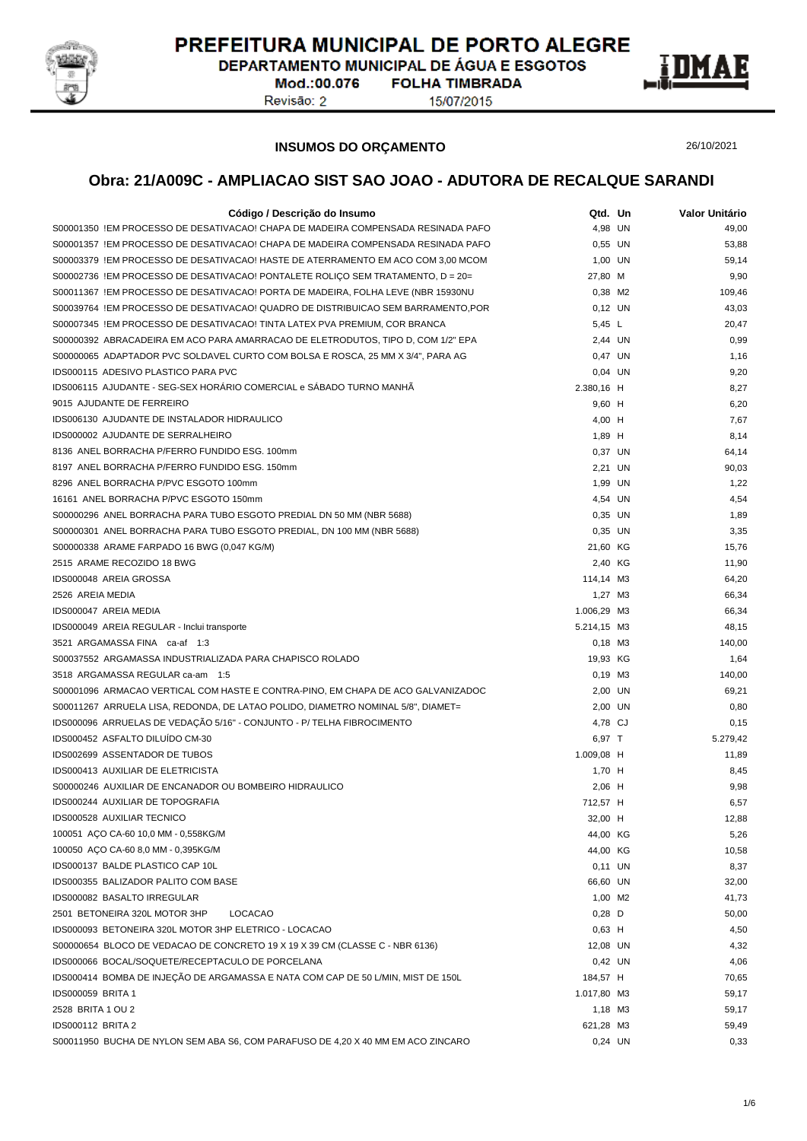

DEPARTAMENTO MUNICIPAL DE ÁGUA E ESGOTOS

Mod.:00.076 Revisão: 2

**FOLHA TIMBRADA** 15/07/2015



**INSUMOS DO ORÇAMENTO**

26/10/2021

| Código / Descrição do Insumo                                                                                                         | Qtd. Un     | Valor Unitário |
|--------------------------------------------------------------------------------------------------------------------------------------|-------------|----------------|
| S00001350 !EM PROCESSO DE DESATIVACAO! CHAPA DE MADEIRA COMPENSADA RESINADA PAFO                                                     | 4,98 UN     | 49,00          |
| S00001357 !EM PROCESSO DE DESATIVACAO! CHAPA DE MADEIRA COMPENSADA RESINADA PAFO                                                     | 0,55 UN     | 53,88          |
| S00003379_IEM PROCESSO DE DESATIVACAO! HASTE DE ATERRAMENTO EM ACO COM 3,00 MCOM                                                     | 1,00 UN     | 59,14          |
| S00002736 !EM PROCESSO DE DESATIVACAO! PONTALETE ROLIÇO SEM TRATAMENTO, D = 20=                                                      | 27,80 M     | 9,90           |
| S00011367_!EM PROCESSO DE DESATIVACAO! PORTA DE MADEIRA, FOLHA LEVE (NBR 15930NU                                                     | 0,38 M2     | 109,46         |
| S00039764_IEM PROCESSO DE DESATIVACAO! QUADRO DE DISTRIBUICAO SEM BARRAMENTO,POR                                                     | $0,12$ UN   | 43,03          |
| S00007345 !EM PROCESSO DE DESATIVACAO! TINTA LATEX PVA PREMIUM, COR BRANCA                                                           | 5,45 L      | 20,47          |
| S00000392 ABRACADEIRA EM ACO PARA AMARRACAO DE ELETRODUTOS, TIPO D, COM 1/2" EPA                                                     | 2,44 UN     | 0,99           |
| S00000065 ADAPTADOR PVC SOLDAVEL CURTO COM BOLSA E ROSCA, 25 MM X 3/4", PARA AG                                                      | 0,47 UN     | 1,16           |
| IDS000115 ADESIVO PLASTICO PARA PVC                                                                                                  | 0,04 UN     | 9,20           |
| IDS006115 AJUDANTE - SEG-SEX HORÁRIO COMERCIAL e SÁBADO TURNO MANHÃ                                                                  | 2.380,16 H  | 8,27           |
| 9015 AJUDANTE DE FERREIRO                                                                                                            | 9,60 H      | 6,20           |
| IDS006130 AJUDANTE DE INSTALADOR HIDRAULICO                                                                                          | 4,00 H      | 7,67           |
| IDS000002 AJUDANTE DE SERRALHEIRO                                                                                                    | 1,89 H      | 8,14           |
| 8136 ANEL BORRACHA P/FERRO FUNDIDO ESG. 100mm                                                                                        | 0,37 UN     | 64,14          |
| 8197 ANEL BORRACHA P/FERRO FUNDIDO ESG. 150mm                                                                                        | 2,21 UN     | 90,03          |
| 8296 ANEL BORRACHA P/PVC ESGOTO 100mm                                                                                                | 1,99 UN     | 1,22           |
| 16161 ANEL BORRACHA P/PVC ESGOTO 150mm                                                                                               | 4,54 UN     | 4,54           |
| S00000296 ANEL BORRACHA PARA TUBO ESGOTO PREDIAL DN 50 MM (NBR 5688)                                                                 | 0,35 UN     | 1,89           |
| S00000301 ANEL BORRACHA PARA TUBO ESGOTO PREDIAL, DN 100 MM (NBR 5688)                                                               | 0.35 UN     | 3,35           |
| S00000338 ARAME FARPADO 16 BWG (0,047 KG/M)                                                                                          | 21,60 KG    | 15,76          |
| 2515 ARAME RECOZIDO 18 BWG                                                                                                           | 2,40 KG     | 11,90          |
| IDS000048 AREIA GROSSA                                                                                                               | 114,14 M3   | 64,20          |
| 2526 AREIA MEDIA                                                                                                                     | 1,27 M3     | 66,34          |
| IDS000047 AREIA MEDIA                                                                                                                | 1.006,29 M3 | 66,34          |
| IDS000049 AREIA REGULAR - Inclui transporte                                                                                          | 5.214,15 M3 | 48,15          |
| 3521 ARGAMASSA FINA ca-af 1:3                                                                                                        | $0,18$ M3   | 140,00         |
| S00037552 ARGAMASSA INDUSTRIALIZADA PARA CHAPISCO ROLADO                                                                             | 19,93 KG    | 1,64           |
| 3518 ARGAMASSA REGULAR ca-am 1:5                                                                                                     | $0,19$ M3   | 140,00         |
| S00001096 ARMACAO VERTICAL COM HASTE E CONTRA-PINO, EM CHAPA DE ACO GALVANIZADOC                                                     | 2,00 UN     | 69,21          |
| S00011267 ARRUELA LISA, REDONDA, DE LATAO POLIDO, DIAMETRO NOMINAL 5/8", DIAMET=                                                     | 2,00 UN     | 0,80           |
| IDS000096 ARRUELAS DE VEDAÇÃO 5/16" - CONJUNTO - P/ TELHA FIBROCIMENTO                                                               | 4,78 CJ     | 0,15           |
| IDS000452 ASFALTO DILUÍDO CM-30                                                                                                      | 6,97 T      | 5.279,42       |
| IDS002699 ASSENTADOR DE TUBOS                                                                                                        | 1.009,08 H  | 11,89          |
| IDS000413 AUXILIAR DE ELETRICISTA                                                                                                    | 1,70 H      | 8,45           |
| S00000246 AUXILIAR DE ENCANADOR OU BOMBEIRO HIDRAULICO                                                                               | 2,06 H      | 9,98           |
| IDS000244 AUXILIAR DE TOPOGRAFIA                                                                                                     | 712,57 H    | 6,57           |
| IDS000528 AUXILIAR TECNICO                                                                                                           | 32,00 H     | 12,88          |
| 100051 ACO CA-60 10,0 MM - 0,558KG/M                                                                                                 | 44,00 KG    | 5,26           |
| 100050 AÇO CA-60 8,0 MM - 0,395KG/M                                                                                                  | 44,00 KG    | 10,58          |
| IDS000137 BALDE PLASTICO CAP 10L                                                                                                     | $0,11$ UN   | 8,37           |
| IDS000355 BALIZADOR PALITO COM BASE                                                                                                  | 66,60 UN    | 32,00          |
| IDS000082 BASALTO IRREGULAR                                                                                                          | 1,00 M2     | 41,73          |
| 2501 BETONEIRA 320L MOTOR 3HP<br><b>LOCACAO</b>                                                                                      | $0,28$ D    | 50,00          |
| IDS000093 BETONEIRA 320L MOTOR 3HP ELETRICO - LOCACAO                                                                                | $0,63$ H    | 4,50           |
| S00000654 BLOCO DE VEDACAO DE CONCRETO 19 X 19 X 39 CM (CLASSE C - NBR 6136)                                                         |             |                |
|                                                                                                                                      | 12,08 UN    | 4,32           |
| IDS000066 BOCAL/SOQUETE/RECEPTACULO DE PORCELANA<br>IDS000414 BOMBA DE INJEÇÃO DE ARGAMASSA E NATA COM CAP DE 50 L/MIN, MIST DE 150L | 0,42 UN     | 4,06           |
| <b>IDS000059 BRITA 1</b>                                                                                                             | 184,57 H    | 70,65          |
|                                                                                                                                      | 1.017,80 M3 | 59,17          |
| 2528 BRITA 1 OU 2                                                                                                                    | 1,18 M3     | 59,17          |
| <b>IDS000112 BRITA 2</b>                                                                                                             | 621,28 M3   | 59,49          |
| S00011950 BUCHA DE NYLON SEM ABA S6, COM PARAFUSO DE 4,20 X 40 MM EM ACO ZINCARO                                                     | 0,24 UN     | 0,33           |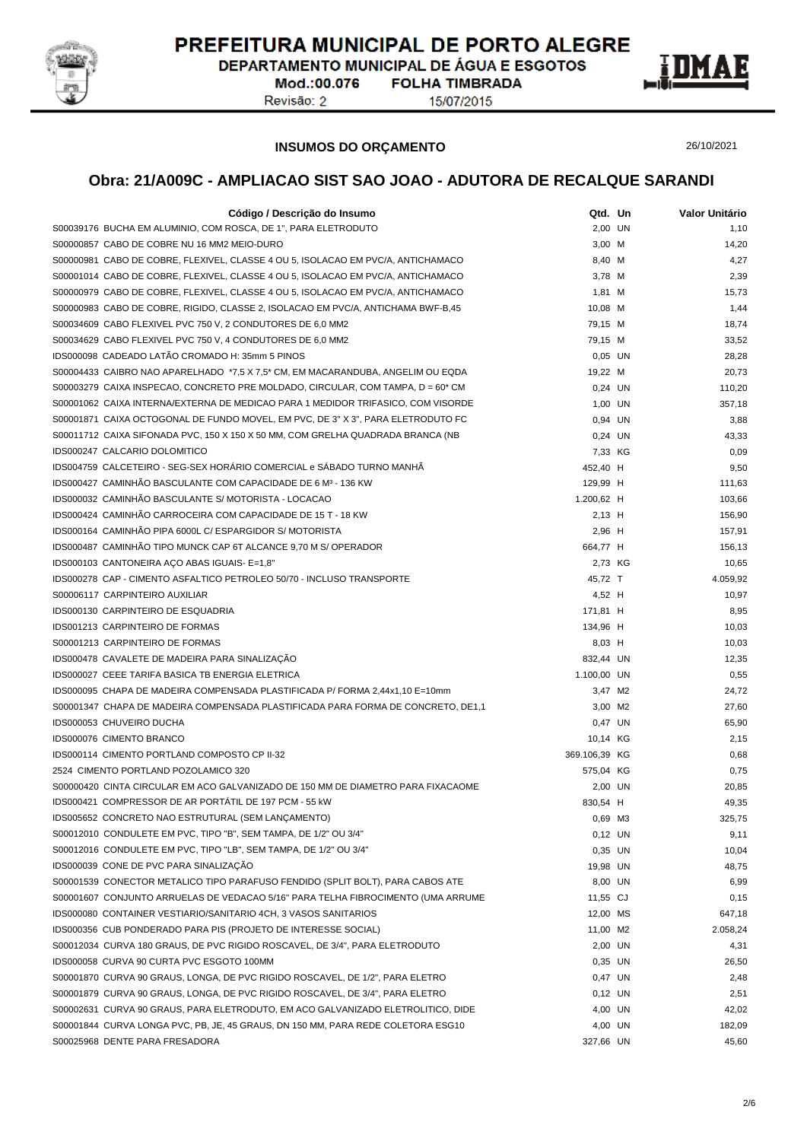

DEPARTAMENTO MUNICIPAL DE ÁGUA E ESGOTOS

Mod.:00.076 Revisão: 2

**FOLHA TIMBRADA** 15/07/2015



**INSUMOS DO ORÇAMENTO**

26/10/2021

| Código / Descrição do Insumo                                                             | Qtd. Un       | Valor Unitário |
|------------------------------------------------------------------------------------------|---------------|----------------|
| S00039176 BUCHA EM ALUMINIO, COM ROSCA, DE 1", PARA ELETRODUTO                           | 2,00 UN       | 1,10           |
| S00000857 CABO DE COBRE NU 16 MM2 MEIO-DURO                                              | 3,00 M        | 14,20          |
| S00000981 CABO DE COBRE, FLEXIVEL, CLASSE 4 OU 5, ISOLACAO EM PVC/A, ANTICHAMACO         | 8,40 M        | 4,27           |
| S00001014 CABO DE COBRE, FLEXIVEL, CLASSE 4 OU 5, ISOLACAO EM PVC/A, ANTICHAMACO         | 3,78 M        | 2,39           |
| S00000979 CABO DE COBRE, FLEXIVEL, CLASSE 4 OU 5, ISOLACAO EM PVC/A, ANTICHAMACO         | 1,81 M        | 15,73          |
| S00000983 CABO DE COBRE, RIGIDO, CLASSE 2, ISOLACAO EM PVC/A, ANTICHAMA BWF-B,45         | 10,08 M       | 1,44           |
| S00034609 CABO FLEXIVEL PVC 750 V, 2 CONDUTORES DE 6,0 MM2                               | 79,15 M       | 18,74          |
| S00034629 CABO FLEXIVEL PVC 750 V, 4 CONDUTORES DE 6,0 MM2                               | 79,15 M       | 33,52          |
| IDS000098 CADEADO LATÃO CROMADO H: 35mm 5 PINOS                                          | $0,05$ UN     | 28,28          |
| S00004433 CAIBRO NAO APARELHADO *7,5 X 7,5* CM, EM MACARANDUBA, ANGELIM OU EQDA          | 19,22 M       | 20,73          |
| S00003279 CAIXA INSPECAO, CONCRETO PRE MOLDADO, CIRCULAR, COM TAMPA, $D = 60^{\circ}$ CM | 0.24 UN       | 110,20         |
| S00001062 CAIXA INTERNA/EXTERNA DE MEDICAO PARA 1 MEDIDOR TRIFASICO, COM VISORDE         | 1,00 UN       | 357,18         |
| S00001871 CAIXA OCTOGONAL DE FUNDO MOVEL, EM PVC, DE 3" X 3", PARA ELETRODUTO FC         | 0,94 UN       | 3,88           |
| S00011712 CAIXA SIFONADA PVC, 150 X 150 X 50 MM, COM GRELHA QUADRADA BRANCA (NB          | 0,24 UN       | 43,33          |
| IDS000247 CALCARIO DOLOMITICO                                                            | 7,33 KG       | 0,09           |
| IDS004759 CALCETEIRO - SEG-SEX HORÁRIO COMERCIAL e SÁBADO TURNO MANHÃ                    | 452,40 H      | 9,50           |
| IDS000427 CAMINHÃO BASCULANTE COM CAPACIDADE DE 6 M <sup>3</sup> - 136 KW                |               |                |
|                                                                                          | 129,99 H      | 111,63         |
| IDS000032 CAMINHÃO BASCULANTE S/ MOTORISTA - LOCACAO                                     | 1.200,62 H    | 103,66         |
| IDS000424 CAMINHÃO CARROCEIRA COM CAPACIDADE DE 15 T - 18 KW                             | $2,13$ H      | 156,90         |
| IDS000164 CAMINHÃO PIPA 6000L C/ ESPARGIDOR S/ MOTORISTA                                 | 2,96 H        | 157,91         |
| IDS000487 CAMINHÃO TIPO MUNCK CAP 6T ALCANCE 9,70 M S/ OPERADOR                          | 664,77 H      | 156,13         |
| IDS000103 CANTONEIRA ACO ABAS IGUAIS- E=1,8"                                             | 2,73 KG       | 10,65          |
| IDS000278 CAP - CIMENTO ASFALTICO PETROLEO 50/70 - INCLUSO TRANSPORTE                    | 45,72 T       | 4.059,92       |
| S00006117 CARPINTEIRO AUXILIAR                                                           | 4,52 H        | 10,97          |
| IDS000130 CARPINTEIRO DE ESQUADRIA                                                       | 171,81 H      | 8,95           |
| IDS001213 CARPINTEIRO DE FORMAS                                                          | 134,96 H      | 10,03          |
| S00001213 CARPINTEIRO DE FORMAS                                                          | 8,03 H        | 10,03          |
| IDS000478 CAVALETE DE MADEIRA PARA SINALIZAÇÃO                                           | 832,44 UN     | 12,35          |
| IDS000027 CEEE TARIFA BASICA TB ENERGIA ELETRICA                                         | 1.100,00 UN   | 0,55           |
| IDS000095 CHAPA DE MADEIRA COMPENSADA PLASTIFICADA P/ FORMA 2,44x1,10 E=10mm             | 3,47 M2       | 24,72          |
| S00001347 CHAPA DE MADEIRA COMPENSADA PLASTIFICADA PARA FORMA DE CONCRETO, DE1,1         | 3,00 M2       | 27,60          |
| IDS000053 CHUVEIRO DUCHA                                                                 | 0,47 UN       | 65,90          |
| IDS000076 CIMENTO BRANCO                                                                 | 10,14 KG      | 2,15           |
| IDS000114 CIMENTO PORTLAND COMPOSTO CP II-32                                             | 369.106,39 KG | 0,68           |
| 2524 CIMENTO PORTLAND POZOLAMICO 320                                                     | 575,04 KG     | 0,75           |
| S00000420 CINTA CIRCULAR EM ACO GALVANIZADO DE 150 MM DE DIAMETRO PARA FIXACAOME         | 2,00 UN       | 20,85          |
| IDS000421 COMPRESSOR DE AR PORTATIL DE 197 PCM - 55 KW                                   | 830,54 H      | 49,35          |
| IDS005652 CONCRETO NAO ESTRUTURAL (SEM LANÇAMENTO)                                       | 0,69 M3       | 325,75         |
| S00012010 CONDULETE EM PVC, TIPO "B", SEM TAMPA, DE 1/2" OU 3/4"                         | 0,12 UN       | 9,11           |
| S00012016 CONDULETE EM PVC, TIPO "LB", SEM TAMPA, DE 1/2" OU 3/4"                        | 0,35 UN       | 10,04          |
| IDS000039 CONE DE PVC PARA SINALIZAÇÃO                                                   | 19,98 UN      | 48,75          |
| S00001539 CONECTOR METALICO TIPO PARAFUSO FENDIDO (SPLIT BOLT), PARA CABOS ATE           | 8,00 UN       | 6,99           |
| S00001607 CONJUNTO ARRUELAS DE VEDACAO 5/16" PARA TELHA FIBROCIMENTO (UMA ARRUME         | 11,55 CJ      | 0,15           |
| IDS000080 CONTAINER VESTIARIO/SANITARIO 4CH, 3 VASOS SANITARIOS                          | 12,00 MS      | 647,18         |
| IDS000356 CUB PONDERADO PARA PIS (PROJETO DE INTERESSE SOCIAL)                           | 11,00 M2      | 2.058,24       |
| S00012034 CURVA 180 GRAUS, DE PVC RIGIDO ROSCAVEL, DE 3/4", PARA ELETRODUTO              | 2,00 UN       | 4,31           |
| IDS000058 CURVA 90 CURTA PVC ESGOTO 100MM                                                | 0,35 UN       | 26,50          |
| S00001870 CURVA 90 GRAUS, LONGA, DE PVC RIGIDO ROSCAVEL, DE 1/2", PARA ELETRO            | 0,47 UN       | 2,48           |
| S00001879 CURVA 90 GRAUS, LONGA, DE PVC RIGIDO ROSCAVEL, DE 3/4", PARA ELETRO            | $0,12$ UN     | 2,51           |
| S00002631 CURVA 90 GRAUS, PARA ELETRODUTO, EM ACO GALVANIZADO ELETROLITICO, DIDE         | 4,00 UN       | 42,02          |
| S00001844 CURVA LONGA PVC, PB, JE, 45 GRAUS, DN 150 MM, PARA REDE COLETORA ESG10         | 4,00 UN       | 182,09         |
| S00025968 DENTE PARA FRESADORA                                                           | 327,66 UN     | 45,60          |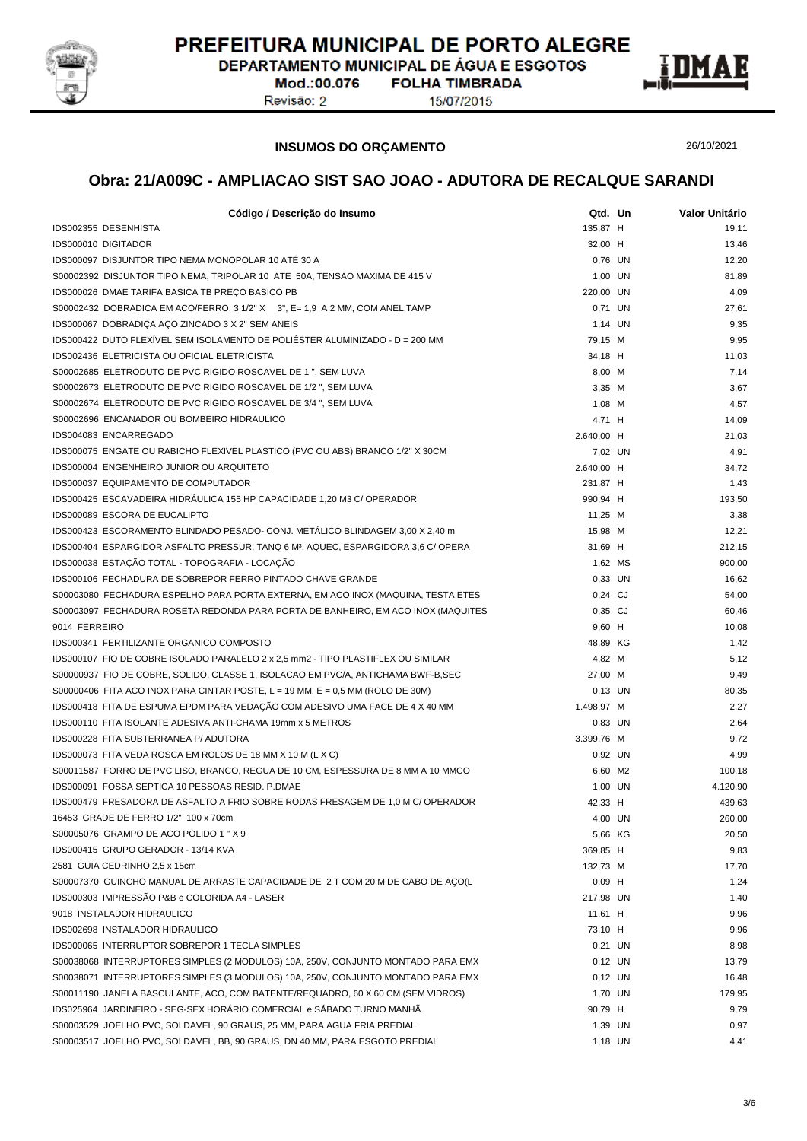

DEPARTAMENTO MUNICIPAL DE ÁGUA E ESGOTOS **FOLHA TIMBRADA** 

Mod.:00.076 Revisão: 2

15/07/2015



**INSUMOS DO ORÇAMENTO**

26/10/2021

| Código / Descrição do Insumo                                                                  | Qtd. Un    | Valor Unitário |
|-----------------------------------------------------------------------------------------------|------------|----------------|
| IDS002355 DESENHISTA                                                                          | 135,87 H   | 19,11          |
| <b>IDS000010 DIGITADOR</b>                                                                    | 32,00 H    | 13,46          |
| IDS000097 DISJUNTOR TIPO NEMA MONOPOLAR 10 ATÉ 30 A                                           | 0,76 UN    | 12,20          |
| S00002392 DISJUNTOR TIPO NEMA, TRIPOLAR 10 ATE 50A, TENSAO MAXIMA DE 415 V                    | 1,00 UN    | 81,89          |
| IDS000026 DMAE TARIFA BASICA TB PREÇO BASICO PB                                               | 220,00 UN  | 4,09           |
| S00002432 DOBRADICA EM ACO/FERRO, 3 1/2" X 3", E= 1,9 A 2 MM, COM ANEL, TAMP                  | 0,71 UN    | 27,61          |
| IDS000067 DOBRADIÇA AÇO ZINCADO 3 X 2" SEM ANEIS                                              | 1,14 UN    | 9,35           |
| IDS000422 DUTO FLEXIVEL SEM ISOLAMENTO DE POLIÉSTER ALUMINIZADO - D = 200 MM                  | 79,15 M    | 9,95           |
| IDS002436 ELETRICISTA OU OFICIAL ELETRICISTA                                                  | 34,18 H    | 11,03          |
| S00002685 ELETRODUTO DE PVC RIGIDO ROSCAVEL DE 1 ", SEM LUVA                                  | 8,00 M     | 7,14           |
| S00002673 ELETRODUTO DE PVC RIGIDO ROSCAVEL DE 1/2 ", SEM LUVA                                | $3,35$ M   | 3,67           |
| S00002674 ELETRODUTO DE PVC RIGIDO ROSCAVEL DE 3/4 ", SEM LUVA                                | $1,08$ M   | 4,57           |
| S00002696 ENCANADOR OU BOMBEIRO HIDRAULICO                                                    | 4,71 H     | 14,09          |
| IDS004083 ENCARREGADO                                                                         | 2.640,00 H | 21,03          |
| IDS000075 ENGATE OU RABICHO FLEXIVEL PLASTICO (PVC OU ABS) BRANCO 1/2" X 30CM                 | 7,02 UN    | 4,91           |
| IDS000004 ENGENHEIRO JUNIOR OU ARQUITETO                                                      | 2.640,00 H | 34,72          |
| IDS000037 EQUIPAMENTO DE COMPUTADOR                                                           | 231,87 H   | 1,43           |
| IDS000425 ESCAVADEIRA HIDRÁULICA 155 HP CAPACIDADE 1,20 M3 C/ OPERADOR                        | 990,94 H   | 193,50         |
| IDS000089 ESCORA DE EUCALIPTO                                                                 | 11,25 M    | 3,38           |
| IDS000423 ESCORAMENTO BLINDADO PESADO- CONJ. METÁLICO BLINDAGEM 3,00 X 2,40 m                 | 15,98 M    | 12,21          |
| IDS000404 ESPARGIDOR ASFALTO PRESSUR, TANQ 6 M <sup>3</sup> , AQUEC, ESPARGIDORA 3,6 C/ OPERA | 31,69 H    | 212,15         |
| IDS000038 ESTAÇÃO TOTAL - TOPOGRAFIA - LOCAÇÃO                                                | 1,62 MS    | 900,00         |
| IDS000106 FECHADURA DE SOBREPOR FERRO PINTADO CHAVE GRANDE                                    | 0,33 UN    | 16,62          |
| S00003080 FECHADURA ESPELHO PARA PORTA EXTERNA, EM ACO INOX (MAQUINA, TESTA ETES              | $0,24$ CJ  | 54,00          |
| S00003097 FECHADURA ROSETA REDONDA PARA PORTA DE BANHEIRO, EM ACO INOX (MAQUITES              | $0,35$ CJ  | 60,46          |
| 9014 FERREIRO                                                                                 | $9,60$ H   | 10,08          |
| IDS000341 FERTILIZANTE ORGANICO COMPOSTO                                                      | 48,89 KG   | 1,42           |
| IDS000107 FIO DE COBRE ISOLADO PARALELO 2 x 2,5 mm2 - TIPO PLASTIFLEX OU SIMILAR              | 4,82 M     | 5,12           |
| S00000937 FIO DE COBRE, SOLIDO, CLASSE 1, ISOLACAO EM PVC/A, ANTICHAMA BWF-B,SEC              | 27,00 M    | 9,49           |
| S00000406 FITA ACO INOX PARA CINTAR POSTE, $L = 19$ MM, $E = 0.5$ MM (ROLO DE 30M)            | $0,13$ UN  | 80,35          |
| IDS000418 FITA DE ESPUMA EPDM PARA VEDAÇÃO COM ADESIVO UMA FACE DE 4 X 40 MM                  | 1.498,97 M | 2,27           |
| IDS000110 FITA ISOLANTE ADESIVA ANTI-CHAMA 19mm x 5 METROS                                    | 0,83 UN    | 2,64           |
| IDS000228 FITA SUBTERRANEA P/ ADUTORA                                                         | 3.399.76 M | 9,72           |
| IDS000073 FITA VEDA ROSCA EM ROLOS DE 18 MM X 10 M (L X C)                                    | 0,92 UN    | 4,99           |
| S00011587 FORRO DE PVC LISO, BRANCO, REGUA DE 10 CM, ESPESSURA DE 8 MM A 10 MMCO              | 6,60 M2    | 100,18         |
| IDS000091 FOSSA SEPTICA 10 PESSOAS RESID. P.DMAE                                              | 1,00 UN    | 4.120,90       |
| IDS000479 FRESADORA DE ASFALTO A FRIO SOBRE RODAS FRESAGEM DE 1,0 M C/ OPERADOR               | 42,33 H    | 439,63         |
| 16453 GRADE DE FERRO 1/2" 100 x 70cm                                                          | 4,00 UN    | 260,00         |
| S00005076 GRAMPO DE ACO POLIDO 1 " X 9                                                        | 5,66 KG    | 20,50          |
| IDS000415 GRUPO GERADOR - 13/14 KVA                                                           | 369,85 H   | 9,83           |
| 2581 GUIA CEDRINHO 2,5 x 15cm                                                                 | 132,73 M   | 17,70          |
| S00007370 GUINCHO MANUAL DE ARRASTE CAPACIDADE DE 2 T COM 20 M DE CABO DE AÇO(L               | $0,09$ H   | 1,24           |
| IDS000303 IMPRESSÃO P&B e COLORIDA A4 - LASER                                                 | 217,98 UN  | 1,40           |
| 9018 INSTALADOR HIDRAULICO                                                                    | 11,61 H    | 9,96           |
| IDS002698 INSTALADOR HIDRAULICO                                                               | 73,10 H    | 9,96           |
| IDS000065 INTERRUPTOR SOBREPOR 1 TECLA SIMPLES                                                | 0,21 UN    | 8,98           |
| S00038068 INTERRUPTORES SIMPLES (2 MODULOS) 10A, 250V, CONJUNTO MONTADO PARA EMX              | $0,12$ UN  | 13,79          |
| S00038071 INTERRUPTORES SIMPLES (3 MODULOS) 10A, 250V, CONJUNTO MONTADO PARA EMX              | $0,12$ UN  | 16,48          |
| S00011190 JANELA BASCULANTE, ACO, COM BATENTE/REQUADRO, 60 X 60 CM (SEM VIDROS)               | 1,70 UN    | 179,95         |
| IDS025964 JARDINEIRO - SEG-SEX HORÁRIO COMERCIAL e SÁBADO TURNO MANHÃ                         | 90,79 H    | 9,79           |
| S00003529 JOELHO PVC, SOLDAVEL, 90 GRAUS, 25 MM, PARA AGUA FRIA PREDIAL                       | 1,39 UN    | 0,97           |
| S00003517 JOELHO PVC, SOLDAVEL, BB, 90 GRAUS, DN 40 MM, PARA ESGOTO PREDIAL                   | 1,18 UN    | 4,41           |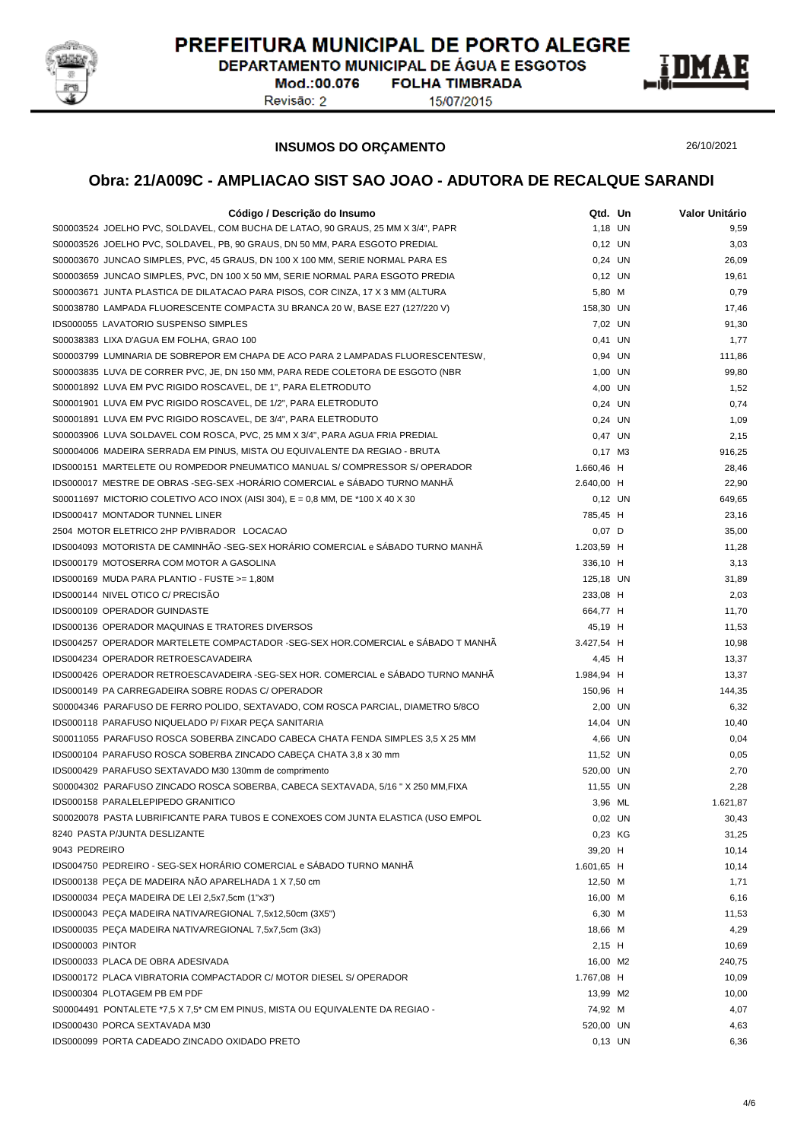

DEPARTAMENTO MUNICIPAL DE ÁGUA E ESGOTOS

Mod.:00.076 Revisão: 2

**FOLHA TIMBRADA** 15/07/2015



26/10/2021

### **INSUMOS DO ORÇAMENTO**

| Código / Descrição do Insumo                                                                                               | Qtd. Un             | Valor Unitário |
|----------------------------------------------------------------------------------------------------------------------------|---------------------|----------------|
| S00003524 JOELHO PVC, SOLDAVEL, COM BUCHA DE LATAO, 90 GRAUS, 25 MM X 3/4", PAPR                                           | 1,18 UN             | 9,59           |
| S00003526 JOELHO PVC, SOLDAVEL, PB, 90 GRAUS, DN 50 MM, PARA ESGOTO PREDIAL                                                | 0,12 UN             | 3,03           |
| S00003670 JUNCAO SIMPLES, PVC, 45 GRAUS, DN 100 X 100 MM, SERIE NORMAL PARA ES                                             | 0,24 UN             | 26,09          |
| S00003659 JUNCAO SIMPLES, PVC, DN 100 X 50 MM, SERIE NORMAL PARA ESGOTO PREDIA                                             | $0,12$ UN           | 19,61          |
| S00003671 JUNTA PLASTICA DE DILATACAO PARA PISOS, COR CINZA, 17 X 3 MM (ALTURA                                             | 5,80 M              | 0,79           |
| S00038780 LAMPADA FLUORESCENTE COMPACTA 3U BRANCA 20 W, BASE E27 (127/220 V)                                               | 158,30 UN           | 17,46          |
| IDS000055 LAVATORIO SUSPENSO SIMPLES                                                                                       | 7,02 UN             | 91,30          |
| S00038383 LIXA D'AGUA EM FOLHA, GRAO 100                                                                                   | 0,41 UN             | 1,77           |
| S00003799 LUMINARIA DE SOBREPOR EM CHAPA DE ACO PARA 2 LAMPADAS FLUORESCENTESW,                                            | 0,94 UN             | 111,86         |
| S00003835 LUVA DE CORRER PVC, JE, DN 150 MM, PARA REDE COLETORA DE ESGOTO (NBR                                             | 1,00 UN             | 99,80          |
| S00001892 LUVA EM PVC RIGIDO ROSCAVEL, DE 1", PARA ELETRODUTO                                                              | 4.00 UN             | 1,52           |
| S00001901 LUVA EM PVC RIGIDO ROSCAVEL, DE 1/2", PARA ELETRODUTO                                                            | 0,24 UN             | 0,74           |
| S00001891 LUVA EM PVC RIGIDO ROSCAVEL, DE 3/4", PARA ELETRODUTO                                                            | 0,24 UN             | 1,09           |
| S00003906 LUVA SOLDAVEL COM ROSCA, PVC, 25 MM X 3/4", PARA AGUA FRIA PREDIAL                                               | 0,47 UN             | 2,15           |
| S00004006 MADEIRA SERRADA EM PINUS, MISTA OU EQUIVALENTE DA REGIAO - BRUTA                                                 | $0,17$ M3           | 916,25         |
| IDS000151 MARTELETE OU ROMPEDOR PNEUMATICO MANUAL S/ COMPRESSOR S/ OPERADOR                                                | 1.660,46 H          | 28,46          |
| IDS000017 MESTRE DE OBRAS -SEG-SEX -HORÁRIO COMERCIAL e SÁBADO TURNO MANHÃ                                                 | 2.640,00 H          | 22,90          |
| S00011697 MICTORIO COLETIVO ACO INOX (AISI 304), $E = 0.8$ MM, DE *100 X 40 X 30                                           | $0,12$ UN           | 649,65         |
| <b>IDS000417 MONTADOR TUNNEL LINER</b>                                                                                     | 785,45 H            | 23,16          |
| 2504 MOTOR ELETRICO 2HP P/VIBRADOR LOCACAO                                                                                 | $0.07$ D            | 35,00          |
| IDS004093 MOTORISTA DE CAMINHÃO -SEG-SEX HORÁRIO COMERCIAL e SÁBADO TURNO MANHÃ                                            | 1.203,59 H          | 11,28          |
| IDS000179 MOTOSERRA COM MOTOR A GASOLINA                                                                                   | 336,10 H            | 3,13           |
| IDS000169 MUDA PARA PLANTIO - FUSTE >= 1,80M                                                                               | 125,18 UN           | 31,89          |
| IDS000144 NIVEL OTICO C/ PRECISÃO                                                                                          | 233,08 H            | 2,03           |
| IDS000109 OPERADOR GUINDASTE                                                                                               | 664,77 H            | 11,70          |
| <b>IDS000136 OPERADOR MAQUINAS E TRATORES DIVERSOS</b>                                                                     | 45,19 H             | 11,53          |
| IDS004257 OPERADOR MARTELETE COMPACTADOR -SEG-SEX HOR.COMERCIAL e SÁBADO T MANHÃ                                           | 3.427,54 H          | 10,98          |
| IDS004234 OPERADOR RETROESCAVADEIRA                                                                                        | 4,45 H              | 13,37          |
| IDS000426 OPERADOR RETROESCAVADEIRA -SEG-SEX HOR. COMERCIAL e SÁBADO TURNO MANHÃ                                           | 1.984,94 H          | 13,37          |
| IDS000149 PA CARREGADEIRA SOBRE RODAS C/ OPERADOR                                                                          | 150,96 H            | 144,35         |
| S00004346 PARAFUSO DE FERRO POLIDO, SEXTAVADO, COM ROSCA PARCIAL, DIAMETRO 5/8CO                                           |                     | 6,32           |
| IDS000118 PARAFUSO NIQUELADO P/ FIXAR PEÇA SANITARIA                                                                       | 2,00 UN<br>14,04 UN | 10,40          |
| S00011055 PARAFUSO ROSCA SOBERBA ZINCADO CABECA CHATA FENDA SIMPLES 3,5 X 25 MM                                            |                     |                |
|                                                                                                                            | 4,66 UN             | 0,04           |
| IDS000104 PARAFUSO ROSCA SOBERBA ZINCADO CABEÇA CHATA 3,8 x 30 mm<br>IDS000429 PARAFUSO SEXTAVADO M30 130mm de comprimento | 11,52 UN            | 0,05           |
|                                                                                                                            | 520,00 UN           | 2,70           |
| S00004302 PARAFUSO ZINCADO ROSCA SOBERBA, CABECA SEXTAVADA, 5/16 " X 250 MM, FIXA<br>IDS000158 PARALELEPIPEDO GRANITICO    | 11,55 UN            | 2,28           |
|                                                                                                                            | 3,96 ML             | 1.621,87       |
| S00020078 PASTA LUBRIFICANTE PARA TUBOS E CONEXOES COM JUNTA ELASTICA (USO EMPOL                                           | 0,02 UN             | 30,43          |
| 8240 PASTA P/JUNTA DESLIZANTE                                                                                              | 0,23 KG             | 31,25          |
| 9043 PEDREIRO                                                                                                              | 39,20 H             | 10,14          |
| IDS004750 PEDREIRO - SEG-SEX HORÁRIO COMERCIAL e SÁBADO TURNO MANHÃ                                                        | 1.601,65 H          | 10,14          |
| IDS000138 PEÇA DE MADEIRA NÃO APARELHADA 1 X 7,50 cm                                                                       | 12,50 M             | 1,71           |
| IDS000034 PEÇA MADEIRA DE LEI 2,5x7,5cm (1"x3")                                                                            | 16,00 M             | 6,16           |
| IDS000043 PEÇA MADEIRA NATIVA/REGIONAL 7,5x12,50cm (3X5")                                                                  | 6,30 M              | 11,53          |
| IDS000035 PEÇA MADEIRA NATIVA/REGIONAL 7,5x7,5cm (3x3)                                                                     | 18,66 M             | 4,29           |
| IDS000003 PINTOR                                                                                                           | $2,15$ H            | 10,69          |
| IDS000033 PLACA DE OBRA ADESIVADA                                                                                          | 16,00 M2            | 240,75         |
| IDS000172 PLACA VIBRATORIA COMPACTADOR C/ MOTOR DIESEL S/ OPERADOR                                                         | 1.767,08 H          | 10,09          |
| IDS000304 PLOTAGEM PB EM PDF                                                                                               | 13,99 M2            | 10,00          |
| S00004491 PONTALETE *7,5 X 7,5 * CM EM PINUS, MISTA OU EQUIVALENTE DA REGIAO -                                             | 74,92 M             | 4,07           |
| IDS000430 PORCA SEXTAVADA M30                                                                                              | 520,00 UN           | 4,63           |
| IDS000099 PORTA CADEADO ZINCADO OXIDADO PRETO                                                                              | 0,13 UN             | 6,36           |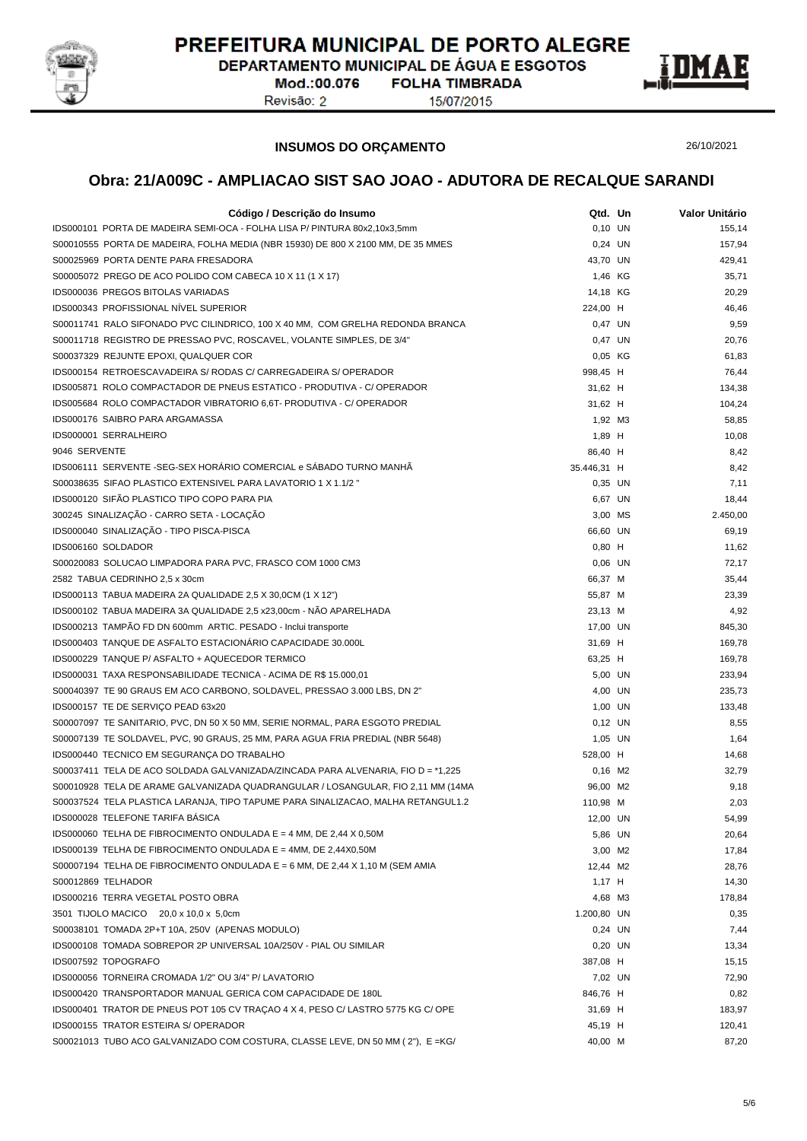

DEPARTAMENTO MUNICIPAL DE ÁGUA E ESGOTOS Mod.:00.076 **FOLHA TIMBRADA** 

Revisão: 2

15/07/2015



26/10/2021

### **INSUMOS DO ORÇAMENTO**

| Código / Descrição do Insumo                                                                                                      | Qtd. Un     | Valor Unitário |
|-----------------------------------------------------------------------------------------------------------------------------------|-------------|----------------|
| IDS000101 PORTA DE MADEIRA SEMI-OCA - FOLHA LISA P/ PINTURA 80x2,10x3,5mm                                                         | 0,10 UN     | 155,14         |
| S00010555 PORTA DE MADEIRA, FOLHA MEDIA (NBR 15930) DE 800 X 2100 MM, DE 35 MMES                                                  | 0,24 UN     | 157,94         |
| S00025969 PORTA DENTE PARA FRESADORA                                                                                              | 43,70 UN    | 429,41         |
| S00005072 PREGO DE ACO POLIDO COM CABECA 10 X 11 (1 X 17)                                                                         | 1,46 KG     | 35,71          |
| <b>IDS000036 PREGOS BITOLAS VARIADAS</b>                                                                                          | 14,18 KG    | 20,29          |
| <b>IDS000343 PROFISSIONAL NIVEL SUPERIOR</b>                                                                                      | 224,00 H    | 46,46          |
| S00011741 RALO SIFONADO PVC CILINDRICO, 100 X 40 MM, COM GRELHA REDONDA BRANCA                                                    | 0,47 UN     | 9,59           |
| S00011718 REGISTRO DE PRESSAO PVC, ROSCAVEL, VOLANTE SIMPLES, DE 3/4"                                                             | 0,47 UN     | 20,76          |
| S00037329 REJUNTE EPOXI, QUALQUER COR                                                                                             | 0,05 KG     | 61,83          |
| IDS000154 RETROESCAVADEIRA S/ RODAS C/ CARREGADEIRA S/ OPERADOR                                                                   | 998,45 H    | 76,44          |
| IDS005871 ROLO COMPACTADOR DE PNEUS ESTATICO - PRODUTIVA - C/ OPERADOR                                                            | 31,62 H     | 134,38         |
| IDS005684 ROLO COMPACTADOR VIBRATORIO 6.6T- PRODUTIVA - C/ OPERADOR                                                               | 31,62 H     | 104,24         |
| IDS000176 SAIBRO PARA ARGAMASSA                                                                                                   | 1,92 M3     | 58,85          |
| IDS000001 SERRALHEIRO                                                                                                             | 1,89 H      | 10,08          |
| 9046 SERVENTE                                                                                                                     | 86,40 H     | 8,42           |
| IDS006111 SERVENTE -SEG-SEX HORÁRIO COMERCIAL e SÁBADO TURNO MANHÃ                                                                | 35.446,31 H | 8,42           |
| S00038635 SIFAO PLASTICO EXTENSIVEL PARA LAVATORIO 1 X 1.1/2 "                                                                    | 0,35 UN     | 7,11           |
| IDS000120 SIFÃO PLASTICO TIPO COPO PARA PIA                                                                                       | 6,67 UN     | 18,44          |
| 300245 SINALIZAÇÃO - CARRO SETA - LOCAÇÃO                                                                                         | 3,00 MS     | 2.450,00       |
| IDS000040 SINALIZAÇÃO - TIPO PISCA-PISCA                                                                                          | 66,60 UN    | 69,19          |
| IDS006160 SOLDADOR                                                                                                                | $0,80$ H    | 11,62          |
| S00020083 SOLUCAO LIMPADORA PARA PVC, FRASCO COM 1000 CM3                                                                         | $0,06$ UN   | 72,17          |
| 2582 TABUA CEDRINHO 2,5 x 30cm                                                                                                    | 66,37 M     | 35,44          |
|                                                                                                                                   | 55,87 M     | 23,39          |
| IDS000113 TABUA MADEIRA 2A QUALIDADE 2,5 X 30,0CM (1 X 12")<br>IDS000102 TABUA MADEIRA 3A QUALIDADE 2,5 x23,00cm - NÃO APARELHADA |             | 4,92           |
|                                                                                                                                   | 23,13 M     |                |
| IDS000213 TAMPÃO FD DN 600mm ARTIC. PESADO - Inclui transporte                                                                    | 17,00 UN    | 845,30         |
| IDS000403 TANQUE DE ASFALTO ESTACIONÁRIO CAPACIDADE 30.000L                                                                       | 31,69 H     | 169,78         |
| IDS000229 TANQUE P/ ASFALTO + AQUECEDOR TERMICO                                                                                   | 63,25 H     | 169,78         |
| IDS000031 TAXA RESPONSABILIDADE TECNICA - ACIMA DE R\$ 15.000,01                                                                  | 5,00 UN     | 233,94         |
| S00040397 TE 90 GRAUS EM ACO CARBONO, SOLDAVEL, PRESSAO 3.000 LBS, DN 2"                                                          | 4,00 UN     | 235,73         |
| IDS000157 TE DE SERVIÇO PEAD 63x20                                                                                                | 1,00 UN     | 133,48         |
| S00007097 TE SANITARIO, PVC, DN 50 X 50 MM, SERIE NORMAL, PARA ESGOTO PREDIAL                                                     | $0,12$ UN   | 8,55           |
| S00007139 TE SOLDAVEL, PVC, 90 GRAUS, 25 MM, PARA AGUA FRIA PREDIAL (NBR 5648)                                                    | 1,05 UN     | 1,64           |
| IDS000440 TECNICO EM SEGURANÇA DO TRABALHO                                                                                        | 528,00 H    | 14,68          |
| S00037411 TELA DE ACO SOLDADA GALVANIZADA/ZINCADA PARA ALVENARIA, FIO D = *1,225                                                  | $0,16$ M2   | 32,79          |
| S00010928 TELA DE ARAME GALVANIZADA QUADRANGULAR / LOSANGULAR, FIO 2,11 MM (14MA                                                  | 96,00 M2    | 9,18           |
| S00037524 TELA PLASTICA LARANJA, TIPO TAPUME PARA SINALIZACAO, MALHA RETANGUL1.2                                                  | 110,98 M    | 2,03           |
| IDS000028 TELEFONE TARIFA BASICA                                                                                                  | 12,00 UN    | 54,99          |
| IDS000060 TELHA DE FIBROCIMENTO ONDULADA E = 4 MM, DE 2,44 X 0,50M                                                                | 5,86 UN     | 20,64          |
| IDS000139 TELHA DE FIBROCIMENTO ONDULADA E = 4MM, DE 2,44X0,50M                                                                   | 3,00 M2     | 17,84          |
| S00007194 TELHA DE FIBROCIMENTO ONDULADA E = 6 MM, DE 2,44 X 1,10 M (SEM AMIA                                                     | 12,44 M2    | 28,76          |
| S00012869 TELHADOR                                                                                                                | 1,17 H      | 14,30          |
| IDS000216 TERRA VEGETAL POSTO OBRA                                                                                                | 4,68 M3     | 178,84         |
| 3501 TIJOLO MACICO 20,0 x 10,0 x 5,0cm                                                                                            | 1.200,80 UN | 0,35           |
| S00038101 TOMADA 2P+T 10A, 250V (APENAS MODULO)                                                                                   | 0,24 UN     | 7,44           |
| IDS000108 TOMADA SOBREPOR 2P UNIVERSAL 10A/250V - PIAL OU SIMILAR                                                                 | 0,20 UN     | 13,34          |
| IDS007592 TOPOGRAFO                                                                                                               | 387,08 H    | 15,15          |
| IDS000056 TORNEIRA CROMADA 1/2" OU 3/4" P/ LAVATORIO                                                                              | 7,02 UN     | 72,90          |
| IDS000420 TRANSPORTADOR MANUAL GERICA COM CAPACIDADE DE 180L                                                                      | 846,76 H    | 0,82           |
| IDS000401 TRATOR DE PNEUS POT 105 CV TRAÇÃO 4 X 4, PESO C/LASTRO 5775 KG C/OPE                                                    | 31,69 H     | 183,97         |
| IDS000155 TRATOR ESTEIRA S/ OPERADOR                                                                                              | 45,19 H     | 120,41         |
| S00021013 TUBO ACO GALVANIZADO COM COSTURA, CLASSE LEVE, DN 50 MM (2"), E = KG/                                                   | 40,00 M     | 87,20          |